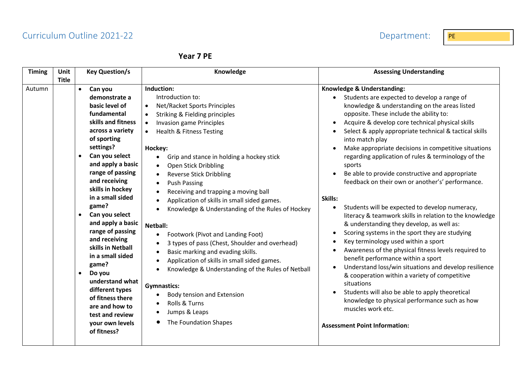# Curriculum Outline 2021-22 **PE PE 2021-22** Department: PE

| ear | 7 | ΡF |
|-----|---|----|
|-----|---|----|

| <b>Timing</b> | Unit<br><b>Title</b>                             | <b>Key Question/s</b>                                                                                                                                                                                                                                                                                                                                                                                                                                                                                                                 | Knowledge                                                                                                                                                                                                                                                                                                                                                                                                                                                                                                                                                                                                                                                                                                                                                                                                                                                                                                        | <b>Assessing Understanding</b>                                                                                                                                                                                                                                                                                                                                                                                                                                                                                                                                                                                                                                                                                                                                                                                                                                                                                                                                                                                                                                                                                                                                                              |
|---------------|--------------------------------------------------|---------------------------------------------------------------------------------------------------------------------------------------------------------------------------------------------------------------------------------------------------------------------------------------------------------------------------------------------------------------------------------------------------------------------------------------------------------------------------------------------------------------------------------------|------------------------------------------------------------------------------------------------------------------------------------------------------------------------------------------------------------------------------------------------------------------------------------------------------------------------------------------------------------------------------------------------------------------------------------------------------------------------------------------------------------------------------------------------------------------------------------------------------------------------------------------------------------------------------------------------------------------------------------------------------------------------------------------------------------------------------------------------------------------------------------------------------------------|---------------------------------------------------------------------------------------------------------------------------------------------------------------------------------------------------------------------------------------------------------------------------------------------------------------------------------------------------------------------------------------------------------------------------------------------------------------------------------------------------------------------------------------------------------------------------------------------------------------------------------------------------------------------------------------------------------------------------------------------------------------------------------------------------------------------------------------------------------------------------------------------------------------------------------------------------------------------------------------------------------------------------------------------------------------------------------------------------------------------------------------------------------------------------------------------|
| Autumn        | $\bullet$<br>$\bullet$<br>$\bullet$<br>$\bullet$ | Can you<br>demonstrate a<br>basic level of<br>fundamental<br>skills and fitness<br>across a variety<br>of sporting<br>settings?<br>Can you select<br>and apply a basic<br>range of passing<br>and receiving<br>skills in hockey<br>in a small sided<br>game?<br>Can you select<br>and apply a basic<br>range of passing<br>and receiving<br>skills in Netball<br>in a small sided<br>game?<br>Do you<br>understand what<br>different types<br>of fitness there<br>are and how to<br>test and review<br>your own levels<br>of fitness? | Induction:<br>Introduction to:<br>Net/Racket Sports Principles<br>Striking & Fielding principles<br><b>Invasion game Principles</b><br>$\bullet$<br>Health & Fitness Testing<br>Hockey:<br>Grip and stance in holding a hockey stick<br>$\bullet$<br>Open Stick Dribbling<br><b>Reverse Stick Dribbling</b><br><b>Push Passing</b><br>$\bullet$<br>Receiving and trapping a moving ball<br>Application of skills in small sided games.<br>Knowledge & Understanding of the Rules of Hockey<br><b>Netball:</b><br>Footwork (Pivot and Landing Foot)<br>$\bullet$<br>3 types of pass (Chest, Shoulder and overhead)<br>Basic marking and evading skills.<br>$\bullet$<br>Application of skills in small sided games.<br>Knowledge & Understanding of the Rules of Netball<br><b>Gymnastics:</b><br>Body tension and Extension<br>Rolls & Turns<br>Jumps & Leaps<br>$\bullet$<br>The Foundation Shapes<br>$\bullet$ | Knowledge & Understanding:<br>Students are expected to develop a range of<br>knowledge & understanding on the areas listed<br>opposite. These include the ability to:<br>Acquire & develop core technical physical skills<br>Select & apply appropriate technical & tactical skills<br>into match play<br>Make appropriate decisions in competitive situations<br>regarding application of rules & terminology of the<br>sports<br>Be able to provide constructive and appropriate<br>feedback on their own or another's' performance.<br>Skills:<br>Students will be expected to develop numeracy,<br>literacy & teamwork skills in relation to the knowledge<br>& understanding they develop, as well as:<br>Scoring systems in the sport they are studying<br>Key terminology used within a sport<br>Awareness of the physical fitness levels required to<br>benefit performance within a sport<br>Understand loss/win situations and develop resilience<br>& cooperation within a variety of competitive<br>situations<br>Students will also be able to apply theoretical<br>knowledge to physical performance such as how<br>muscles work etc.<br><b>Assessment Point Information:</b> |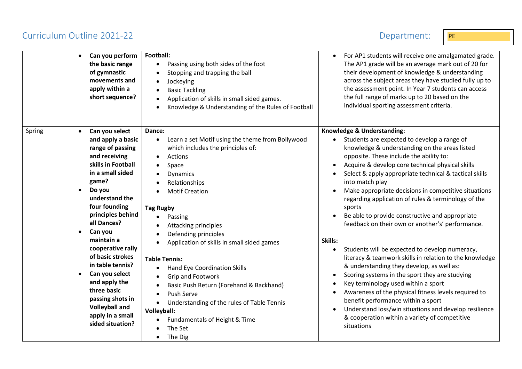# Curriculum Outline 2021-22 Department: PE

| Can you perform<br>$\bullet$<br>the basic range<br>of gymnastic<br>movements and<br>apply within a<br>short sequence?                                                                                                                                                                                                                                                                                                                                                                                   | Football:<br>Passing using both sides of the foot<br>$\bullet$<br>Stopping and trapping the ball<br>Jockeying<br>$\bullet$<br><b>Basic Tackling</b><br>Application of skills in small sided games.<br>Knowledge & Understanding of the Rules of Football                                                                                                                                                                                                                                                                                                                                                             | For AP1 students will receive one amalgamated grade.<br>$\bullet$<br>The AP1 grade will be an average mark out of 20 for<br>their development of knowledge & understanding<br>across the subject areas they have studied fully up to<br>the assessment point. In Year 7 students can access<br>the full range of marks up to 20 based on the<br>individual sporting assessment criteria.                                                                                                                                                                                                                                                                                                                                                                                                                                                                                                                                                                                                                                                             |
|---------------------------------------------------------------------------------------------------------------------------------------------------------------------------------------------------------------------------------------------------------------------------------------------------------------------------------------------------------------------------------------------------------------------------------------------------------------------------------------------------------|----------------------------------------------------------------------------------------------------------------------------------------------------------------------------------------------------------------------------------------------------------------------------------------------------------------------------------------------------------------------------------------------------------------------------------------------------------------------------------------------------------------------------------------------------------------------------------------------------------------------|------------------------------------------------------------------------------------------------------------------------------------------------------------------------------------------------------------------------------------------------------------------------------------------------------------------------------------------------------------------------------------------------------------------------------------------------------------------------------------------------------------------------------------------------------------------------------------------------------------------------------------------------------------------------------------------------------------------------------------------------------------------------------------------------------------------------------------------------------------------------------------------------------------------------------------------------------------------------------------------------------------------------------------------------------|
| Can you select<br>Spring<br>$\bullet$<br>and apply a basic<br>range of passing<br>and receiving<br>skills in Football<br>in a small sided<br>game?<br>Do you<br>$\bullet$<br>understand the<br>four founding<br>principles behind<br>all Dances?<br>Can you<br>$\bullet$<br>maintain a<br>cooperative rally<br>of basic strokes<br>in table tennis?<br>Can you select<br>$\bullet$<br>and apply the<br>three basic<br>passing shots in<br><b>Volleyball and</b><br>apply in a small<br>sided situation? | Dance:<br>Learn a set Motif using the theme from Bollywood<br>which includes the principles of:<br>Actions<br>$\bullet$<br>Space<br>Dynamics<br>Relationships<br><b>Motif Creation</b><br><b>Tag Rugby</b><br>Passing<br>Attacking principles<br>Defending principles<br>Application of skills in small sided games<br><b>Table Tennis:</b><br>Hand Eye Coordination Skills<br>$\bullet$<br>Grip and Footwork<br>Basic Push Return (Forehand & Backhand)<br>Push Serve<br>Understanding of the rules of Table Tennis<br>$\bullet$<br>Volleyball:<br>Fundamentals of Height & Time<br>$\bullet$<br>The Set<br>The Dig | Knowledge & Understanding:<br>Students are expected to develop a range of<br>$\bullet$<br>knowledge & understanding on the areas listed<br>opposite. These include the ability to:<br>Acquire & develop core technical physical skills<br>Select & apply appropriate technical & tactical skills<br>into match play<br>Make appropriate decisions in competitive situations<br>regarding application of rules & terminology of the<br>sports<br>Be able to provide constructive and appropriate<br>feedback on their own or another's' performance.<br>Skills:<br>Students will be expected to develop numeracy,<br>literacy & teamwork skills in relation to the knowledge<br>& understanding they develop, as well as:<br>Scoring systems in the sport they are studying<br>Key terminology used within a sport<br>Awareness of the physical fitness levels required to<br>$\bullet$<br>benefit performance within a sport<br>Understand loss/win situations and develop resilience<br>& cooperation within a variety of competitive<br>situations |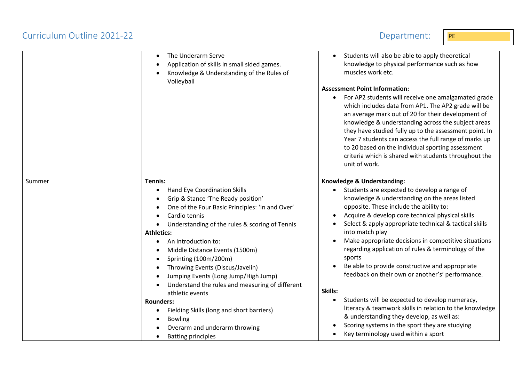## Curriculum Outline 2021-22 Department:

| <b>Contract Contract Contract Contract Contract Contract Contract Contract Contract Contract Contract Contract Co</b><br><b>Contract Contract Contract Contract Contract Contract Contract Contract Contract Contract Contract Contract Co</b> |
|------------------------------------------------------------------------------------------------------------------------------------------------------------------------------------------------------------------------------------------------|
|                                                                                                                                                                                                                                                |

|        | The Underarm Serve<br>Application of skills in small sided games.<br>Knowledge & Understanding of the Rules of<br>Volleyball                                                                                                                                                                                                                                                                                                                                                                                                                                                                                                                                                                          | Students will also be able to apply theoretical<br>knowledge to physical performance such as how<br>muscles work etc.<br><b>Assessment Point Information:</b><br>For AP2 students will receive one amalgamated grade<br>which includes data from AP1. The AP2 grade will be<br>an average mark out of 20 for their development of<br>knowledge & understanding across the subject areas<br>they have studied fully up to the assessment point. In<br>Year 7 students can access the full range of marks up<br>to 20 based on the individual sporting assessment<br>criteria which is shared with students throughout the<br>unit of work.                                                                                                                                                            |
|--------|-------------------------------------------------------------------------------------------------------------------------------------------------------------------------------------------------------------------------------------------------------------------------------------------------------------------------------------------------------------------------------------------------------------------------------------------------------------------------------------------------------------------------------------------------------------------------------------------------------------------------------------------------------------------------------------------------------|------------------------------------------------------------------------------------------------------------------------------------------------------------------------------------------------------------------------------------------------------------------------------------------------------------------------------------------------------------------------------------------------------------------------------------------------------------------------------------------------------------------------------------------------------------------------------------------------------------------------------------------------------------------------------------------------------------------------------------------------------------------------------------------------------|
| Summer | Tennis:<br>Hand Eye Coordination Skills<br>$\bullet$<br>Grip & Stance 'The Ready position'<br>$\bullet$<br>One of the Four Basic Principles: 'In and Over'<br>Cardio tennis<br>$\bullet$<br>Understanding of the rules & scoring of Tennis<br>$\bullet$<br><b>Athletics:</b><br>An introduction to:<br>٠<br>Middle Distance Events (1500m)<br>Sprinting (100m/200m)<br>$\bullet$<br>Throwing Events (Discus/Javelin)<br>Jumping Events (Long Jump/High Jump)<br>Understand the rules and measuring of different<br>athletic events<br><b>Rounders:</b><br>Fielding Skills (long and short barriers)<br>٠<br><b>Bowling</b><br>Overarm and underarm throwing<br><b>Batting principles</b><br>$\bullet$ | Knowledge & Understanding:<br>Students are expected to develop a range of<br>knowledge & understanding on the areas listed<br>opposite. These include the ability to:<br>Acquire & develop core technical physical skills<br>Select & apply appropriate technical & tactical skills<br>into match play<br>Make appropriate decisions in competitive situations<br>regarding application of rules & terminology of the<br>sports<br>Be able to provide constructive and appropriate<br>feedback on their own or another's' performance.<br>Skills:<br>Students will be expected to develop numeracy,<br>literacy & teamwork skills in relation to the knowledge<br>& understanding they develop, as well as:<br>Scoring systems in the sport they are studying<br>Key terminology used within a sport |